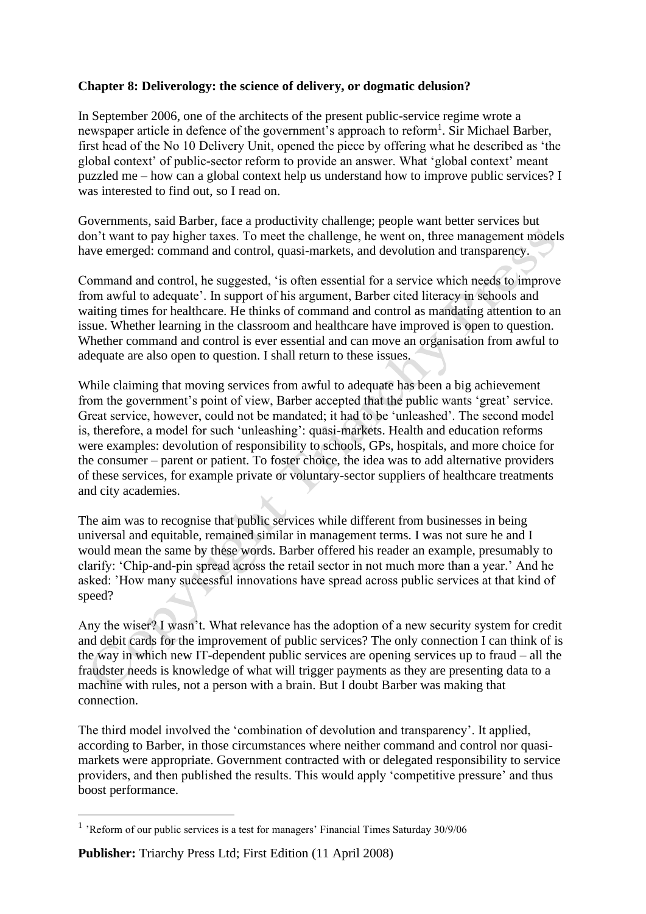## **Chapter 8: Deliverology: the science of delivery, or dogmatic delusion?**

In September 2006, one of the architects of the present public-service regime wrote a newspaper article in defence of the government's approach to reform<sup>1</sup>. Sir Michael Barber, first head of the No 10 Delivery Unit, opened the piece by offering what he described as 'the global context' of public-sector reform to provide an answer. What 'global context' meant puzzled me – how can a global context help us understand how to improve public services? I was interested to find out, so I read on.

Governments, said Barber, face a productivity challenge; people want better services but don't want to pay higher taxes. To meet the challenge, he went on, three management models have emerged: command and control, quasi-markets, and devolution and transparency.

Command and control, he suggested, 'is often essential for a service which needs to improve from awful to adequate'. In support of his argument, Barber cited literacy in schools and waiting times for healthcare. He thinks of command and control as mandating attention to an issue. Whether learning in the classroom and healthcare have improved is open to question. Whether command and control is ever essential and can move an organisation from awful to adequate are also open to question. I shall return to these issues.

While claiming that moving services from awful to adequate has been a big achievement from the government's point of view, Barber accepted that the public wants 'great' service. Great service, however, could not be mandated; it had to be 'unleashed'. The second model is, therefore, a model for such 'unleashing': quasi-markets. Health and education reforms were examples: devolution of responsibility to schools, GPs, hospitals, and more choice for the consumer – parent or patient. To foster choice, the idea was to add alternative providers of these services, for example private or voluntary-sector suppliers of healthcare treatments and city academies.

The aim was to recognise that public services while different from businesses in being universal and equitable, remained similar in management terms. I was not sure he and I would mean the same by these words. Barber offered his reader an example, presumably to clarify: 'Chip-and-pin spread across the retail sector in not much more than a year.' And he asked: 'How many successful innovations have spread across public services at that kind of speed?

Any the wiser? I wasn't. What relevance has the adoption of a new security system for credit and debit cards for the improvement of public services? The only connection I can think of is the way in which new IT-dependent public services are opening services up to fraud – all the fraudster needs is knowledge of what will trigger payments as they are presenting data to a machine with rules, not a person with a brain. But I doubt Barber was making that connection.

The third model involved the 'combination of devolution and transparency'. It applied, according to Barber, in those circumstances where neither command and control nor quasimarkets were appropriate. Government contracted with or delegated responsibility to service providers, and then published the results. This would apply 'competitive pressure' and thus boost performance.

<sup>1</sup> 'Reform of our public services is a test for managers' Financial Times Saturday 30/9/06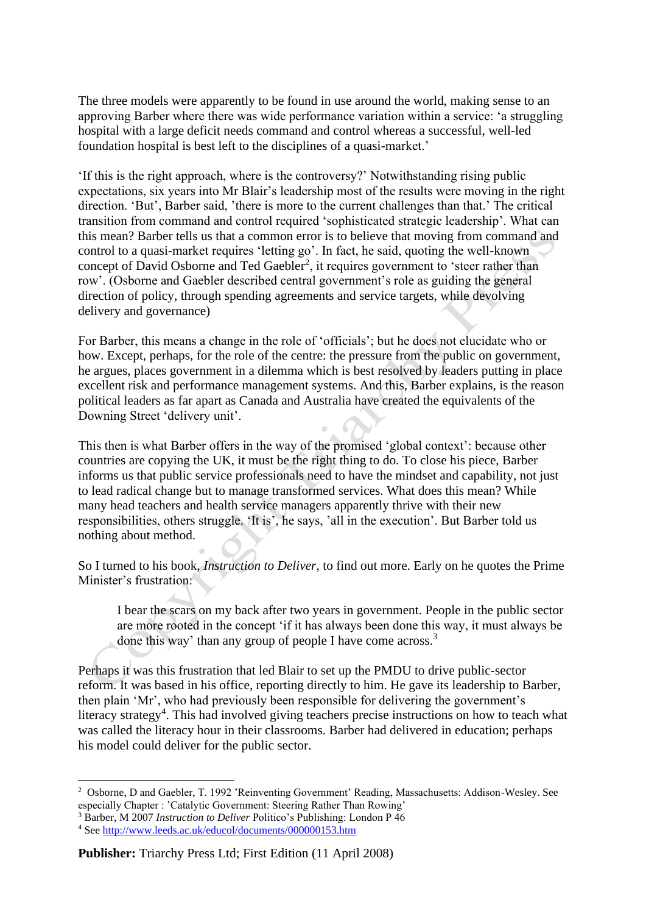The three models were apparently to be found in use around the world, making sense to an approving Barber where there was wide performance variation within a service: 'a struggling hospital with a large deficit needs command and control whereas a successful, well-led foundation hospital is best left to the disciplines of a quasi-market.'

'If this is the right approach, where is the controversy?' Notwithstanding rising public expectations, six years into Mr Blair's leadership most of the results were moving in the right direction. 'But', Barber said, 'there is more to the current challenges than that.' The critical transition from command and control required 'sophisticated strategic leadership'. What can this mean? Barber tells us that a common error is to believe that moving from command and control to a quasi-market requires 'letting go'. In fact, he said, quoting the well-known concept of David Osborne and Ted Gaebler<sup>2</sup>, it requires government to 'steer rather than row'. (Osborne and Gaebler described central government's role as guiding the general direction of policy, through spending agreements and service targets, while devolving delivery and governance)

For Barber, this means a change in the role of 'officials'; but he does not elucidate who or how. Except, perhaps, for the role of the centre: the pressure from the public on government, he argues, places government in a dilemma which is best resolved by leaders putting in place excellent risk and performance management systems. And this, Barber explains, is the reason political leaders as far apart as Canada and Australia have created the equivalents of the Downing Street 'delivery unit'.

This then is what Barber offers in the way of the promised 'global context': because other countries are copying the UK, it must be the right thing to do. To close his piece, Barber informs us that public service professionals need to have the mindset and capability, not just to lead radical change but to manage transformed services. What does this mean? While many head teachers and health service managers apparently thrive with their new responsibilities, others struggle. 'It is', he says, 'all in the execution'. But Barber told us nothing about method.

So I turned to his book, *Instruction to Deliver*, to find out more. Early on he quotes the Prime Minister's frustration:

I bear the scars on my back after two years in government. People in the public sector are more rooted in the concept 'if it has always been done this way, it must always be done this way' than any group of people I have come across.<sup>3</sup>

Perhaps it was this frustration that led Blair to set up the PMDU to drive public-sector reform. It was based in his office, reporting directly to him. He gave its leadership to Barber, then plain 'Mr', who had previously been responsible for delivering the government's literacy strategy<sup>4</sup>. This had involved giving teachers precise instructions on how to teach what was called the literacy hour in their classrooms. Barber had delivered in education; perhaps his model could deliver for the public sector.

<sup>2</sup> Osborne, D and Gaebler, T. 1992 'Reinventing Government' Reading, Massachusetts: Addison-Wesley. See especially Chapter : 'Catalytic Government: Steering Rather Than Rowing'

<sup>3</sup> Barber, M 2007 *Instruction to Deliver* Politico's Publishing: London P 46

<sup>4</sup> Se[e http://www.leeds.ac.uk/educol/documents/000000153.htm](http://www.leeds.ac.uk/educol/documents/000000153.htm)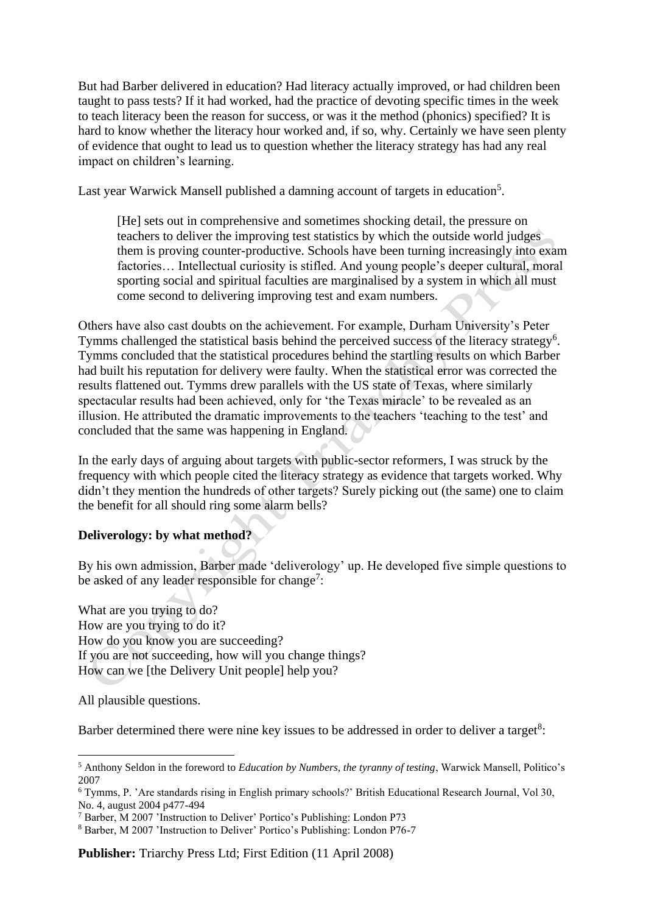But had Barber delivered in education? Had literacy actually improved, or had children been taught to pass tests? If it had worked, had the practice of devoting specific times in the week to teach literacy been the reason for success, or was it the method (phonics) specified? It is hard to know whether the literacy hour worked and, if so, why. Certainly we have seen plenty of evidence that ought to lead us to question whether the literacy strategy has had any real impact on children's learning.

Last year Warwick Mansell published a damning account of targets in education<sup>5</sup>.

[He] sets out in comprehensive and sometimes shocking detail, the pressure on teachers to deliver the improving test statistics by which the outside world judges them is proving counter-productive. Schools have been turning increasingly into exam factories… Intellectual curiosity is stifled. And young people's deeper cultural, moral sporting social and spiritual faculties are marginalised by a system in which all must come second to delivering improving test and exam numbers.

Others have also cast doubts on the achievement. For example, Durham University's Peter Tymms challenged the statistical basis behind the perceived success of the literacy strategy<sup>6</sup>. Tymms concluded that the statistical procedures behind the startling results on which Barber had built his reputation for delivery were faulty. When the statistical error was corrected the results flattened out. Tymms drew parallels with the US state of Texas, where similarly spectacular results had been achieved, only for 'the Texas miracle' to be revealed as an illusion. He attributed the dramatic improvements to the teachers 'teaching to the test' and concluded that the same was happening in England.

In the early days of arguing about targets with public-sector reformers, I was struck by the frequency with which people cited the literacy strategy as evidence that targets worked. Why didn't they mention the hundreds of other targets? Surely picking out (the same) one to claim the benefit for all should ring some alarm bells?

## **Deliverology: by what method?**

By his own admission, Barber made 'deliverology' up. He developed five simple questions to be asked of any leader responsible for change<sup>7</sup>:

What are you trying to do? How are you trying to do it? How do you know you are succeeding? If you are not succeeding, how will you change things? How can we [the Delivery Unit people] help you?

All plausible questions.

Barber determined there were nine key issues to be addressed in order to deliver a target<sup>8</sup>:

**Publisher:** Triarchy Press Ltd; First Edition (11 April 2008)

<sup>5</sup> Anthony Seldon in the foreword to *Education by Numbers, the tyranny of testing*, Warwick Mansell, Politico's 2007

<sup>6</sup> Tymms, P. 'Are standards rising in English primary schools?' British Educational Research Journal, Vol 30, No. 4, august 2004 p477-494

<sup>7</sup> Barber, M 2007 'Instruction to Deliver' Portico's Publishing: London P73

<sup>8</sup> Barber, M 2007 'Instruction to Deliver' Portico's Publishing: London P76-7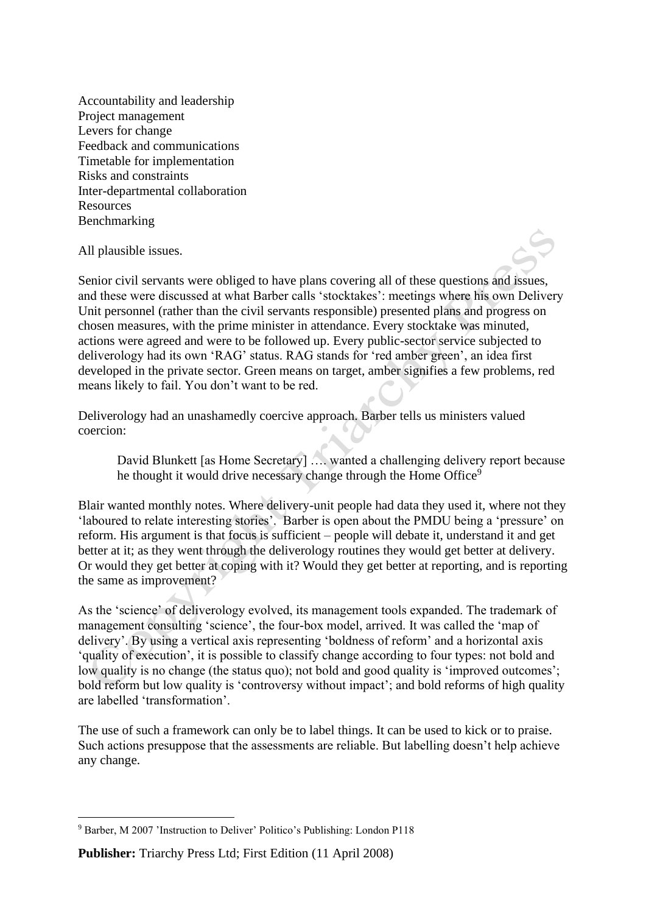Accountability and leadership Project management Levers for change Feedback and communications Timetable for implementation Risks and constraints Inter-departmental collaboration **Resources** Benchmarking

All plausible issues.

Senior civil servants were obliged to have plans covering all of these questions and issues, and these were discussed at what Barber calls 'stocktakes': meetings where his own Delivery Unit personnel (rather than the civil servants responsible) presented plans and progress on chosen measures, with the prime minister in attendance. Every stocktake was minuted, actions were agreed and were to be followed up. Every public-sector service subjected to deliverology had its own 'RAG' status. RAG stands for 'red amber green', an idea first developed in the private sector. Green means on target, amber signifies a few problems, red means likely to fail. You don't want to be red.

Deliverology had an unashamedly coercive approach. Barber tells us ministers valued coercion:

David Blunkett [as Home Secretary] .... wanted a challenging delivery report because he thought it would drive necessary change through the Home Office<sup>9</sup>

Blair wanted monthly notes. Where delivery-unit people had data they used it, where not they 'laboured to relate interesting stories'. Barber is open about the PMDU being a 'pressure' on reform. His argument is that focus is sufficient – people will debate it, understand it and get better at it; as they went through the deliverology routines they would get better at delivery. Or would they get better at coping with it? Would they get better at reporting, and is reporting the same as improvement?

As the 'science' of deliverology evolved, its management tools expanded. The trademark of management consulting 'science', the four-box model, arrived. It was called the 'map of delivery'. By using a vertical axis representing 'boldness of reform' and a horizontal axis 'quality of execution', it is possible to classify change according to four types: not bold and low quality is no change (the status quo); not bold and good quality is 'improved outcomes'; bold reform but low quality is 'controversy without impact'; and bold reforms of high quality are labelled 'transformation'.

The use of such a framework can only be to label things. It can be used to kick or to praise. Such actions presuppose that the assessments are reliable. But labelling doesn't help achieve any change.

<sup>9</sup> Barber, M 2007 'Instruction to Deliver' Politico's Publishing: London P118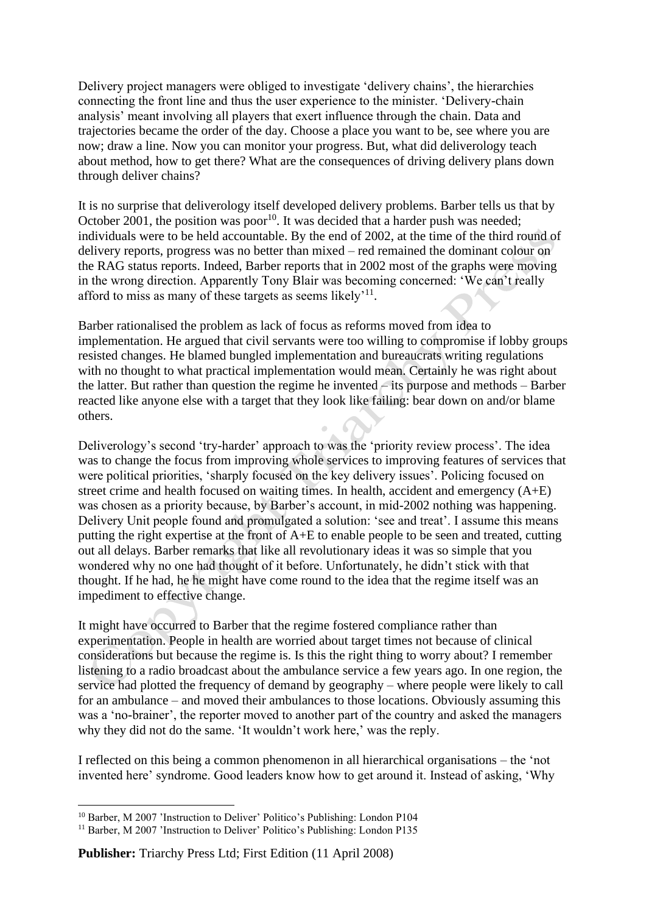Delivery project managers were obliged to investigate 'delivery chains', the hierarchies connecting the front line and thus the user experience to the minister. 'Delivery-chain analysis' meant involving all players that exert influence through the chain. Data and trajectories became the order of the day. Choose a place you want to be, see where you are now; draw a line. Now you can monitor your progress. But, what did deliverology teach about method, how to get there? What are the consequences of driving delivery plans down through deliver chains?

It is no surprise that deliverology itself developed delivery problems. Barber tells us that by October 2001, the position was poor<sup>10</sup>. It was decided that a harder push was needed; individuals were to be held accountable. By the end of 2002, at the time of the third round of delivery reports, progress was no better than mixed – red remained the dominant colour on the RAG status reports. Indeed, Barber reports that in 2002 most of the graphs were moving in the wrong direction. Apparently Tony Blair was becoming concerned: 'We can't really afford to miss as many of these targets as seems likely $11$ .

Barber rationalised the problem as lack of focus as reforms moved from idea to implementation. He argued that civil servants were too willing to compromise if lobby groups resisted changes. He blamed bungled implementation and bureaucrats writing regulations with no thought to what practical implementation would mean. Certainly he was right about the latter. But rather than question the regime he invented – its purpose and methods – Barber reacted like anyone else with a target that they look like failing: bear down on and/or blame others.

Deliverology's second 'try-harder' approach to was the 'priority review process'. The idea was to change the focus from improving whole services to improving features of services that were political priorities, 'sharply focused on the key delivery issues'. Policing focused on street crime and health focused on waiting times. In health, accident and emergency (A+E) was chosen as a priority because, by Barber's account, in mid-2002 nothing was happening. Delivery Unit people found and promulgated a solution: 'see and treat'. I assume this means putting the right expertise at the front of A+E to enable people to be seen and treated, cutting out all delays. Barber remarks that like all revolutionary ideas it was so simple that you wondered why no one had thought of it before. Unfortunately, he didn't stick with that thought. If he had, he he might have come round to the idea that the regime itself was an impediment to effective change.

It might have occurred to Barber that the regime fostered compliance rather than experimentation. People in health are worried about target times not because of clinical considerations but because the regime is. Is this the right thing to worry about? I remember listening to a radio broadcast about the ambulance service a few years ago. In one region, the service had plotted the frequency of demand by geography – where people were likely to call for an ambulance – and moved their ambulances to those locations. Obviously assuming this was a 'no-brainer', the reporter moved to another part of the country and asked the managers why they did not do the same. 'It wouldn't work here,' was the reply.

I reflected on this being a common phenomenon in all hierarchical organisations – the 'not invented here' syndrome. Good leaders know how to get around it. Instead of asking, 'Why

<sup>&</sup>lt;sup>10</sup> Barber, M 2007 'Instruction to Deliver' Politico's Publishing: London P104

<sup>&</sup>lt;sup>11</sup> Barber, M 2007 'Instruction to Deliver' Politico's Publishing: London P135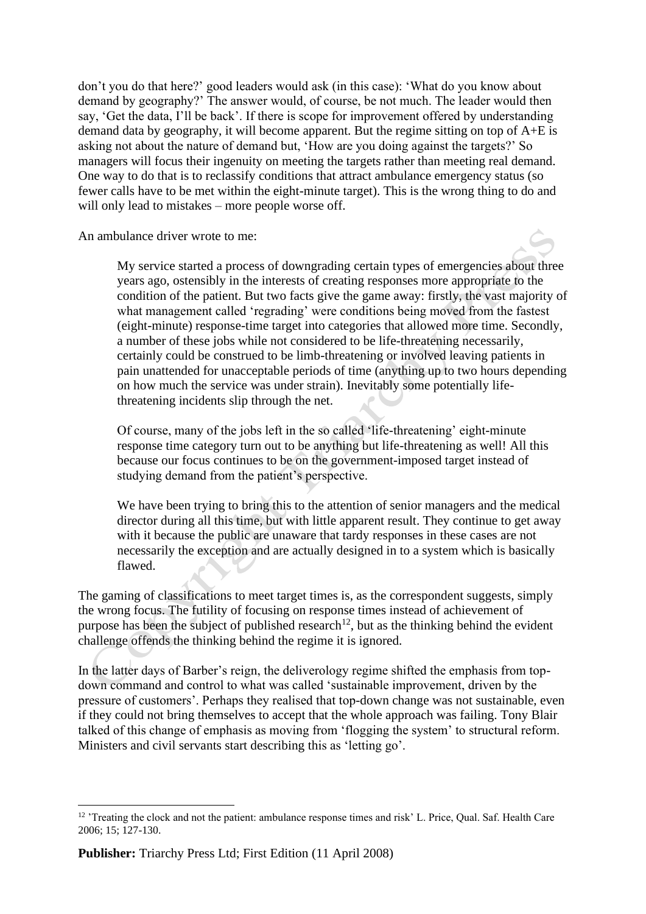don't you do that here?' good leaders would ask (in this case): 'What do you know about demand by geography?' The answer would, of course, be not much. The leader would then say, 'Get the data, I'll be back'. If there is scope for improvement offered by understanding demand data by geography, it will become apparent. But the regime sitting on top of A+E is asking not about the nature of demand but, 'How are you doing against the targets?' So managers will focus their ingenuity on meeting the targets rather than meeting real demand. One way to do that is to reclassify conditions that attract ambulance emergency status (so fewer calls have to be met within the eight-minute target). This is the wrong thing to do and will only lead to mistakes – more people worse off.

An ambulance driver wrote to me:

My service started a process of downgrading certain types of emergencies about three years ago, ostensibly in the interests of creating responses more appropriate to the condition of the patient. But two facts give the game away: firstly, the vast majority of what management called 'regrading' were conditions being moved from the fastest (eight-minute) response-time target into categories that allowed more time. Secondly, a number of these jobs while not considered to be life-threatening necessarily, certainly could be construed to be limb-threatening or involved leaving patients in pain unattended for unacceptable periods of time (anything up to two hours depending on how much the service was under strain). Inevitably some potentially lifethreatening incidents slip through the net.

Of course, many of the jobs left in the so called 'life-threatening' eight-minute response time category turn out to be anything but life-threatening as well! All this because our focus continues to be on the government-imposed target instead of studying demand from the patient's perspective.

We have been trying to bring this to the attention of senior managers and the medical director during all this time, but with little apparent result. They continue to get away with it because the public are unaware that tardy responses in these cases are not necessarily the exception and are actually designed in to a system which is basically flawed.

The gaming of classifications to meet target times is, as the correspondent suggests, simply the wrong focus. The futility of focusing on response times instead of achievement of purpose has been the subject of published research<sup>12</sup>, but as the thinking behind the evident challenge offends the thinking behind the regime it is ignored.

In the latter days of Barber's reign, the deliverology regime shifted the emphasis from topdown command and control to what was called 'sustainable improvement, driven by the pressure of customers'. Perhaps they realised that top-down change was not sustainable, even if they could not bring themselves to accept that the whole approach was failing. Tony Blair talked of this change of emphasis as moving from 'flogging the system' to structural reform. Ministers and civil servants start describing this as 'letting go'.

<sup>&</sup>lt;sup>12</sup> 'Treating the clock and not the patient: ambulance response times and risk' L. Price, Qual. Saf. Health Care 2006; 15; 127-130.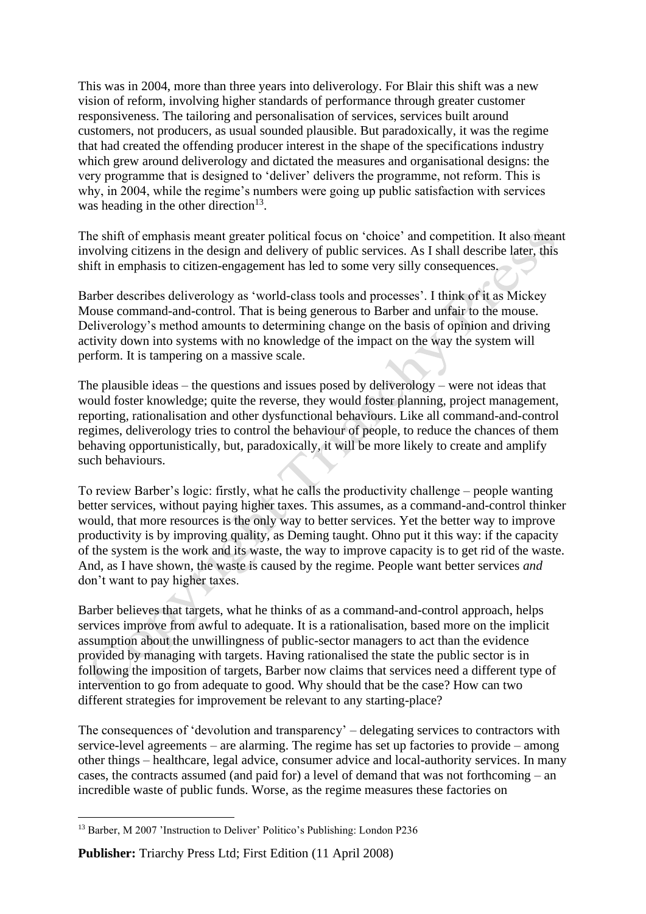This was in 2004, more than three years into deliverology. For Blair this shift was a new vision of reform, involving higher standards of performance through greater customer responsiveness. The tailoring and personalisation of services, services built around customers, not producers, as usual sounded plausible. But paradoxically, it was the regime that had created the offending producer interest in the shape of the specifications industry which grew around deliverology and dictated the measures and organisational designs: the very programme that is designed to 'deliver' delivers the programme, not reform. This is why, in 2004, while the regime's numbers were going up public satisfaction with services was heading in the other direction $13$ .

The shift of emphasis meant greater political focus on 'choice' and competition. It also meant involving citizens in the design and delivery of public services. As I shall describe later, this shift in emphasis to citizen-engagement has led to some very silly consequences.

Barber describes deliverology as 'world-class tools and processes'. I think of it as Mickey Mouse command-and-control. That is being generous to Barber and unfair to the mouse. Deliverology's method amounts to determining change on the basis of opinion and driving activity down into systems with no knowledge of the impact on the way the system will perform. It is tampering on a massive scale.

The plausible ideas – the questions and issues posed by deliverology – were not ideas that would foster knowledge; quite the reverse, they would foster planning, project management, reporting, rationalisation and other dysfunctional behaviours. Like all command-and-control regimes, deliverology tries to control the behaviour of people, to reduce the chances of them behaving opportunistically, but, paradoxically, it will be more likely to create and amplify such behaviours.

To review Barber's logic: firstly, what he calls the productivity challenge – people wanting better services, without paying higher taxes. This assumes, as a command-and-control thinker would, that more resources is the only way to better services. Yet the better way to improve productivity is by improving quality, as Deming taught. Ohno put it this way: if the capacity of the system is the work and its waste, the way to improve capacity is to get rid of the waste. And, as I have shown, the waste is caused by the regime. People want better services *and* don't want to pay higher taxes.

Barber believes that targets, what he thinks of as a command-and-control approach, helps services improve from awful to adequate. It is a rationalisation, based more on the implicit assumption about the unwillingness of public-sector managers to act than the evidence provided by managing with targets. Having rationalised the state the public sector is in following the imposition of targets, Barber now claims that services need a different type of intervention to go from adequate to good. Why should that be the case? How can two different strategies for improvement be relevant to any starting-place?

The consequences of 'devolution and transparency' – delegating services to contractors with service-level agreements – are alarming. The regime has set up factories to provide – among other things – healthcare, legal advice, consumer advice and local-authority services. In many cases, the contracts assumed (and paid for) a level of demand that was not forthcoming – an incredible waste of public funds. Worse, as the regime measures these factories on

<sup>13</sup> Barber, M 2007 'Instruction to Deliver' Politico's Publishing: London P236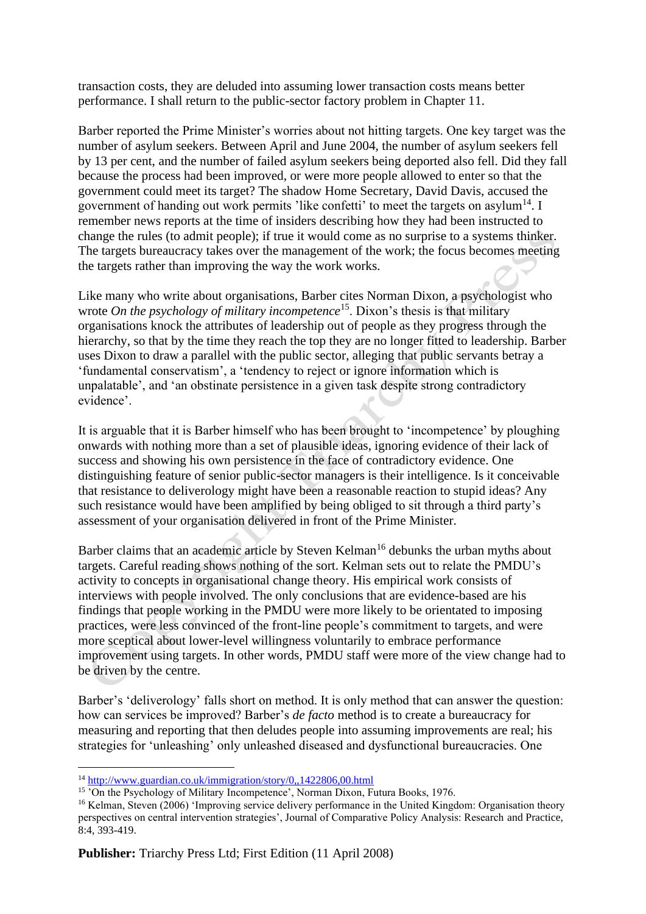transaction costs, they are deluded into assuming lower transaction costs means better performance. I shall return to the public-sector factory problem in Chapter 11.

Barber reported the Prime Minister's worries about not hitting targets. One key target was the number of asylum seekers. Between April and June 2004, the number of asylum seekers fell by 13 per cent, and the number of failed asylum seekers being deported also fell. Did they fall because the process had been improved, or were more people allowed to enter so that the government could meet its target? The shadow Home Secretary, David Davis, accused the government of handing out work permits 'like confetti' to meet the targets on asylum<sup>14</sup>. I remember news reports at the time of insiders describing how they had been instructed to change the rules (to admit people); if true it would come as no surprise to a systems thinker. The targets bureaucracy takes over the management of the work; the focus becomes meeting the targets rather than improving the way the work works.

Like many who write about organisations, Barber cites Norman Dixon, a psychologist who wrote *On the psychology of military incompetence*<sup>15</sup>. Dixon's thesis is that military organisations knock the attributes of leadership out of people as they progress through the hierarchy, so that by the time they reach the top they are no longer fitted to leadership. Barber uses Dixon to draw a parallel with the public sector, alleging that public servants betray a 'fundamental conservatism', a 'tendency to reject or ignore information which is unpalatable', and 'an obstinate persistence in a given task despite strong contradictory evidence'.

It is arguable that it is Barber himself who has been brought to 'incompetence' by ploughing onwards with nothing more than a set of plausible ideas, ignoring evidence of their lack of success and showing his own persistence in the face of contradictory evidence. One distinguishing feature of senior public-sector managers is their intelligence. Is it conceivable that resistance to deliverology might have been a reasonable reaction to stupid ideas? Any such resistance would have been amplified by being obliged to sit through a third party's assessment of your organisation delivered in front of the Prime Minister.

Barber claims that an academic article by Steven Kelman<sup>16</sup> debunks the urban myths about targets. Careful reading shows nothing of the sort. Kelman sets out to relate the PMDU's activity to concepts in organisational change theory. His empirical work consists of interviews with people involved. The only conclusions that are evidence-based are his findings that people working in the PMDU were more likely to be orientated to imposing practices, were less convinced of the front-line people's commitment to targets, and were more sceptical about lower-level willingness voluntarily to embrace performance improvement using targets. In other words, PMDU staff were more of the view change had to be driven by the centre.

Barber's 'deliverology' falls short on method. It is only method that can answer the question: how can services be improved? Barber's *de facto* method is to create a bureaucracy for measuring and reporting that then deludes people into assuming improvements are real; his strategies for 'unleashing' only unleashed diseased and dysfunctional bureaucracies. One

<sup>14</sup> <http://www.guardian.co.uk/immigration/story/0,,1422806,00.html>

<sup>&</sup>lt;sup>15</sup> 'On the Psychology of Military Incompetence', Norman Dixon, Futura Books, 1976.

<sup>&</sup>lt;sup>16</sup> Kelman, Steven (2006) 'Improving service delivery performance in the United Kingdom: Organisation theory perspectives on central intervention strategies', Journal of Comparative Policy Analysis: Research and Practice, 8:4, 393-419.